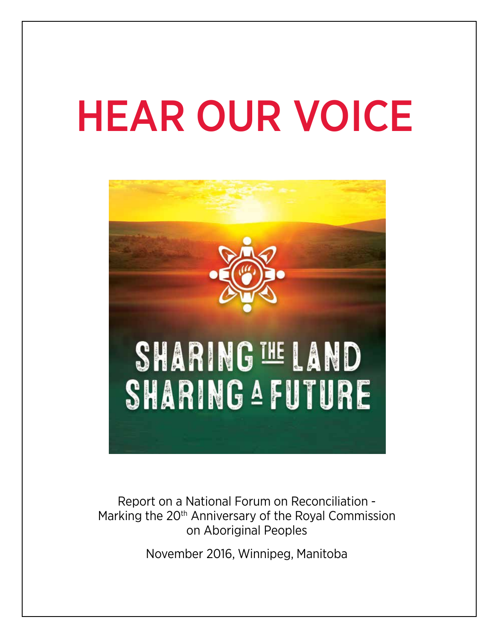# HEAR OUR VOICE



Report on a National Forum on Reconciliation - Marking the 20<sup>th</sup> Anniversary of the Royal Commission on Aboriginal Peoples

November 2016, Winnipeg, Manitoba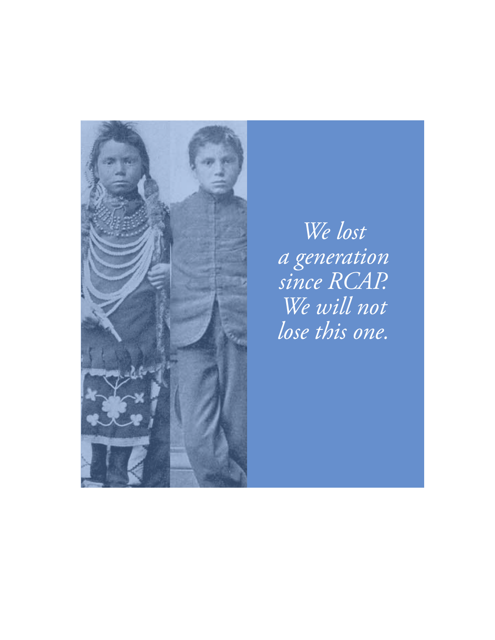

*We lost a generation since RCAP. We will not lose this one.*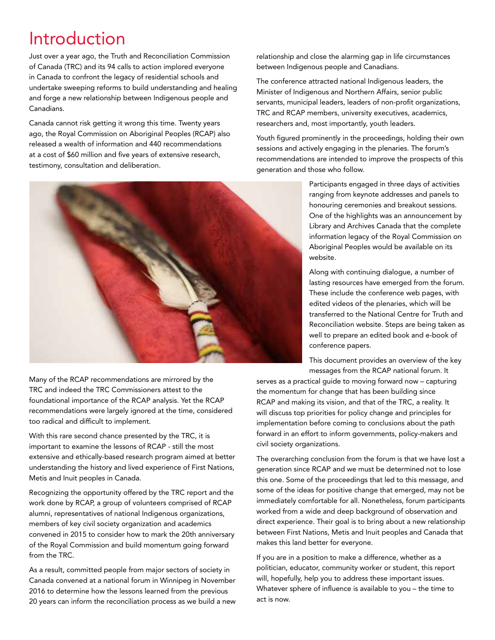## Introduction

Just over a year ago, the Truth and Reconciliation Commission of Canada (TRC) and its 94 calls to action implored everyone in Canada to confront the legacy of residential schools and undertake sweeping reforms to build understanding and healing and forge a new relationship between Indigenous people and Canadians.

Canada cannot risk getting it wrong this time. Twenty years ago, the Royal Commission on Aboriginal Peoples (RCAP) also released a wealth of information and 440 recommendations at a cost of \$60 million and five years of extensive research, testimony, consultation and deliberation.



Many of the RCAP recommendations are mirrored by the TRC and indeed the TRC Commissioners attest to the foundational importance of the RCAP analysis. Yet the RCAP recommendations were largely ignored at the time, considered too radical and difficult to implement.

With this rare second chance presented by the TRC, it is important to examine the lessons of RCAP - still the most extensive and ethically-based research program aimed at better understanding the history and lived experience of First Nations, Metis and Inuit peoples in Canada.

Recognizing the opportunity offered by the TRC report and the work done by RCAP, a group of volunteers comprised of RCAP alumni, representatives of national Indigenous organizations, members of key civil society organization and academics convened in 2015 to consider how to mark the 20th anniversary of the Royal Commission and build momentum going forward from the TRC.

As a result, committed people from major sectors of society in Canada convened at a national forum in Winnipeg in November 2016 to determine how the lessons learned from the previous 20 years can inform the reconciliation process as we build a new

relationship and close the alarming gap in life circumstances between Indigenous people and Canadians.

The conference attracted national Indigenous leaders, the Minister of Indigenous and Northern Affairs, senior public servants, municipal leaders, leaders of non-profit organizations, TRC and RCAP members, university executives, academics, researchers and, most importantly, youth leaders.

Youth figured prominently in the proceedings, holding their own sessions and actively engaging in the plenaries. The forum's recommendations are intended to improve the prospects of this generation and those who follow.

> Participants engaged in three days of activities ranging from keynote addresses and panels to honouring ceremonies and breakout sessions. One of the highlights was an announcement by Library and Archives Canada that the complete information legacy of the Royal Commission on Aboriginal Peoples would be available on its website.

Along with continuing dialogue, a number of lasting resources have emerged from the forum. These include the conference web pages, with edited videos of the plenaries, which will be transferred to the National Centre for Truth and Reconciliation website. Steps are being taken as well to prepare an edited book and e-book of conference papers.

This document provides an overview of the key messages from the RCAP national forum. It

serves as a practical guide to moving forward now – capturing the momentum for change that has been building since RCAP and making its vision, and that of the TRC, a reality. It will discuss top priorities for policy change and principles for implementation before coming to conclusions about the path forward in an effort to inform governments, policy-makers and civil society organizations.

The overarching conclusion from the forum is that we have lost a generation since RCAP and we must be determined not to lose this one. Some of the proceedings that led to this message, and some of the ideas for positive change that emerged, may not be immediately comfortable for all. Nonetheless, forum participants worked from a wide and deep background of observation and direct experience. Their goal is to bring about a new relationship between First Nations, Metis and Inuit peoples and Canada that makes this land better for everyone.

If you are in a position to make a difference, whether as a politician, educator, community worker or student, this report will, hopefully, help you to address these important issues. Whatever sphere of influence is available to you – the time to act is now.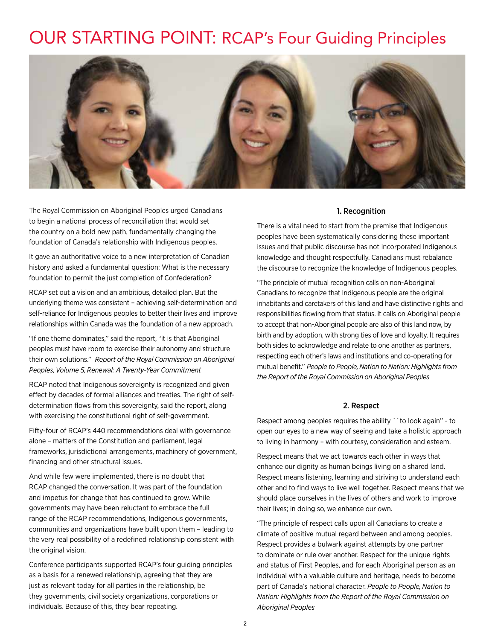### OUR STARTING POINT: RCAP's Four Guiding Principles



The Royal Commission on Aboriginal Peoples urged Canadians to begin a national process of reconciliation that would set the country on a bold new path, fundamentally changing the foundation of Canada's relationship with Indigenous peoples.

It gave an authoritative voice to a new interpretation of Canadian history and asked a fundamental question: What is the necessary foundation to permit the just completion of Confederation?

RCAP set out a vision and an ambitious, detailed plan. But the underlying theme was consistent – achieving self-determination and self-reliance for Indigenous peoples to better their lives and improve relationships within Canada was the foundation of a new approach.

"If one theme dominates,'' said the report, "it is that Aboriginal peoples must have room to exercise their autonomy and structure their own solutions.'' *Report of the Royal Commission on Aboriginal Peoples, Volume 5, Renewal: A Twenty-Year Commitment*

RCAP noted that Indigenous sovereignty is recognized and given effect by decades of formal alliances and treaties. The right of selfdetermination flows from this sovereignty, said the report, along with exercising the constitutional right of self-government.

Fifty-four of RCAP's 440 recommendations deal with governance alone – matters of the Constitution and parliament, legal frameworks, jurisdictional arrangements, machinery of government, financing and other structural issues.

And while few were implemented, there is no doubt that RCAP changed the conversation. It was part of the foundation and impetus for change that has continued to grow. While governments may have been reluctant to embrace the full range of the RCAP recommendations, Indigenous governments, communities and organizations have built upon them – leading to the very real possibility of a redefined relationship consistent with the original vision.

Conference participants supported RCAP's four guiding principles as a basis for a renewed relationship, agreeing that they are just as relevant today for all parties in the relationship, be they governments, civil society organizations, corporations or individuals. Because of this, they bear repeating.

#### 1. Recognition

There is a vital need to start from the premise that Indigenous peoples have been systematically considering these important issues and that public discourse has not incorporated Indigenous knowledge and thought respectfully. Canadians must rebalance the discourse to recognize the knowledge of Indigenous peoples.

"The principle of mutual recognition calls on non-Aboriginal Canadians to recognize that Indigenous people are the original inhabitants and caretakers of this land and have distinctive rights and responsibilities flowing from that status. It calls on Aboriginal people to accept that non-Aboriginal people are also of this land now, by birth and by adoption, with strong ties of love and loyalty. It requires both sides to acknowledge and relate to one another as partners, respecting each other's laws and institutions and co-operating for mutual benefit.'' *People to People, Nation to Nation: Highlights from the Report of the Royal Commission on Aboriginal Peoples*

#### 2. Respect

Respect among peoples requires the ability ``to look again'' - to open our eyes to a new way of seeing and take a holistic approach to living in harmony – with courtesy, consideration and esteem.

Respect means that we act towards each other in ways that enhance our dignity as human beings living on a shared land. Respect means listening, learning and striving to understand each other and to find ways to live well together. Respect means that we should place ourselves in the lives of others and work to improve their lives; in doing so, we enhance our own.

"The principle of respect calls upon all Canadians to create a climate of positive mutual regard between and among peoples. Respect provides a bulwark against attempts by one partner to dominate or rule over another. Respect for the unique rights and status of First Peoples, and for each Aboriginal person as an individual with a valuable culture and heritage, needs to become part of Canada's national character. *People to People, Nation to Nation: Highlights from the Report of the Royal Commission on Aboriginal Peoples*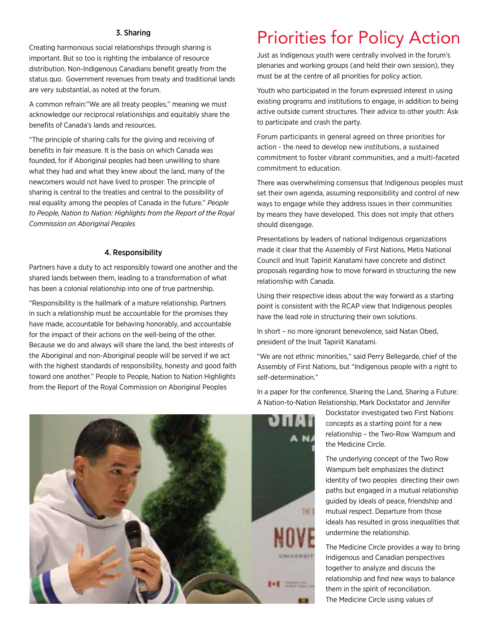#### 3. Sharing

Creating harmonious social relationships through sharing is important. But so too is righting the imbalance of resource distribution. Non-Indigenous Canadians benefit greatly from the status quo. Government revenues from treaty and traditional lands are very substantial, as noted at the forum.

A common refrain:"We are all treaty peoples,'' meaning we must acknowledge our reciprocal relationships and equitably share the benefits of Canada's lands and resources.

"The principle of sharing calls for the giving and receiving of benefits in fair measure. It is the basis on which Canada was founded, for if Aboriginal peoples had been unwilling to share what they had and what they knew about the land, many of the newcomers would not have lived to prosper. The principle of sharing is central to the treaties and central to the possibility of real equality among the peoples of Canada in the future.'' *People to People, Nation to Nation: Highlights from the Report of the Royal Commission on Aboriginal Peoples*

#### 4. Responsibility

Partners have a duty to act responsibly toward one another and the shared lands between them, leading to a transformation of what has been a colonial relationship into one of true partnership.

"Responsibility is the hallmark of a mature relationship. Partners in such a relationship must be accountable for the promises they have made, accountable for behaving honorably, and accountable for the impact of their actions on the well-being of the other. Because we do and always will share the land, the best interests of the Aboriginal and non-Aboriginal people will be served if we act with the highest standards of responsibility, honesty and good faith toward one another.'' People to People, Nation to Nation Highlights from the Report of the Royal Commission on Aboriginal Peoples

### Priorities for Policy Action

Just as Indigenous youth were centrally involved in the forum's plenaries and working groups (and held their own session), they must be at the centre of all priorities for policy action.

Youth who participated in the forum expressed interest in using existing programs and institutions to engage, in addition to being active outside current structures. Their advice to other youth: Ask to participate and crash the party.

Forum participants in general agreed on three priorities for action - the need to develop new institutions, a sustained commitment to foster vibrant communities, and a multi-faceted commitment to education.

There was overwhelming consensus that Indigenous peoples must set their own agenda, assuming responsibility and control of new ways to engage while they address issues in their communities by means they have developed. This does not imply that others should disengage.

Presentations by leaders of national Indigenous organizations made it clear that the Assembly of First Nations, Metis National Council and Inuit Tapiriit Kanatami have concrete and distinct proposals regarding how to move forward in structuring the new relationship with Canada.

Using their respective ideas about the way forward as a starting point is consistent with the RCAP view that Indigenous peoples have the lead role in structuring their own solutions.

In short – no more ignorant benevolence, said Natan Obed, president of the Inuit Tapiriit Kanatami.

"We are not ethnic minorities,'' said Perry Bellegarde, chief of the Assembly of First Nations, but "Indigenous people with a right to self-determination."

In a paper for the conference, Sharing the Land, Sharing a Future: A Nation-to-Nation Relationship, Mark Dockstator and Jennifer

> Dockstator investigated two First Nations concepts as a starting point for a new relationship – the Two-Row Wampum and the Medicine Circle.

The underlying concept of the Two Row Wampum belt emphasizes the distinct identity of two peoples directing their own paths but engaged in a mutual relationship guided by ideals of peace, friendship and mutual respect. Departure from those ideals has resulted in gross inequalities that undermine the relationship.

The Medicine Circle provides a way to bring Indigenous and Canadian perspectives together to analyze and discuss the relationship and find new ways to balance them in the spirit of reconciliation. The Medicine Circle using values of

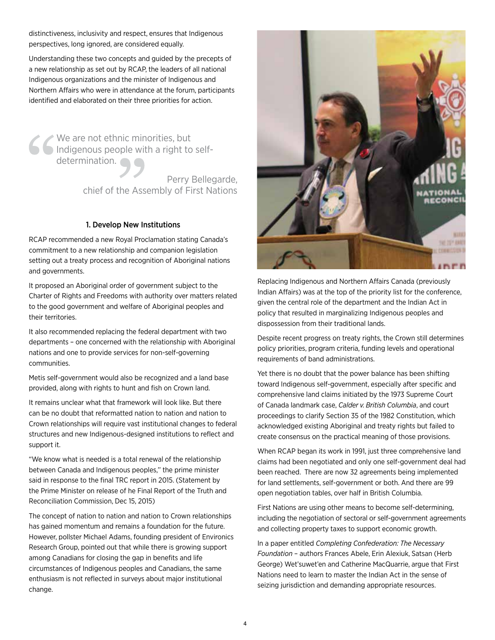distinctiveness, inclusivity and respect, ensures that Indigenous perspectives, long ignored, are considered equally.

Understanding these two concepts and guided by the precepts of a new relationship as set out by RCAP, the leaders of all national Indigenous organizations and the minister of Indigenous and Northern Affairs who were in attendance at the forum, participants identified and elaborated on their three priorities for action.

We are not ethnic minorities, but Indigenous people with a right to selfdetermination.

> Perry Bellegarde, chief of the Assembly of First Nations

#### 1. Develop New Institutions

RCAP recommended a new Royal Proclamation stating Canada's commitment to a new relationship and companion legislation setting out a treaty process and recognition of Aboriginal nations and governments.

It proposed an Aboriginal order of government subject to the Charter of Rights and Freedoms with authority over matters related to the good government and welfare of Aboriginal peoples and their territories.

It also recommended replacing the federal department with two departments – one concerned with the relationship with Aboriginal nations and one to provide services for non-self-governing communities.

Metis self-government would also be recognized and a land base provided, along with rights to hunt and fish on Crown land.

It remains unclear what that framework will look like. But there can be no doubt that reformatted nation to nation and nation to Crown relationships will require vast institutional changes to federal structures and new Indigenous-designed institutions to reflect and support it.

"We know what is needed is a total renewal of the relationship between Canada and Indigenous peoples,'' the prime minister said in response to the final TRC report in 2015. (Statement by the Prime Minister on release of he Final Report of the Truth and Reconciliation Commission, Dec 15, 2015)

The concept of nation to nation and nation to Crown relationships has gained momentum and remains a foundation for the future. However, pollster Michael Adams, founding president of Environics Research Group, pointed out that while there is growing support among Canadians for closing the gap in benefits and life circumstances of Indigenous peoples and Canadians, the same enthusiasm is not reflected in surveys about major institutional change.



Replacing Indigenous and Northern Affairs Canada (previously Indian Affairs) was at the top of the priority list for the conference, given the central role of the department and the Indian Act in policy that resulted in marginalizing Indigenous peoples and dispossession from their traditional lands.

Despite recent progress on treaty rights, the Crown still determines policy priorities, program criteria, funding levels and operational requirements of band administrations.

Yet there is no doubt that the power balance has been shifting toward Indigenous self-government, especially after specific and comprehensive land claims initiated by the 1973 Supreme Court of Canada landmark case, *Calder v. British Columbia*, and court proceedings to clarify Section 35 of the 1982 Constitution, which acknowledged existing Aboriginal and treaty rights but failed to create consensus on the practical meaning of those provisions.

When RCAP began its work in 1991, just three comprehensive land claims had been negotiated and only one self-government deal had been reached. There are now 32 agreements being implemented for land settlements, self-government or both. And there are 99 open negotiation tables, over half in British Columbia.

First Nations are using other means to become self-determining, including the negotiation of sectoral or self-government agreements and collecting property taxes to support economic growth.

In a paper entitled *Completing Confederation: The Necessary Foundation* – authors Frances Abele, Erin Alexiuk, Satsan (Herb George) Wet'suwet'en and Catherine MacQuarrie, argue that First Nations need to learn to master the Indian Act in the sense of seizing jurisdiction and demanding appropriate resources.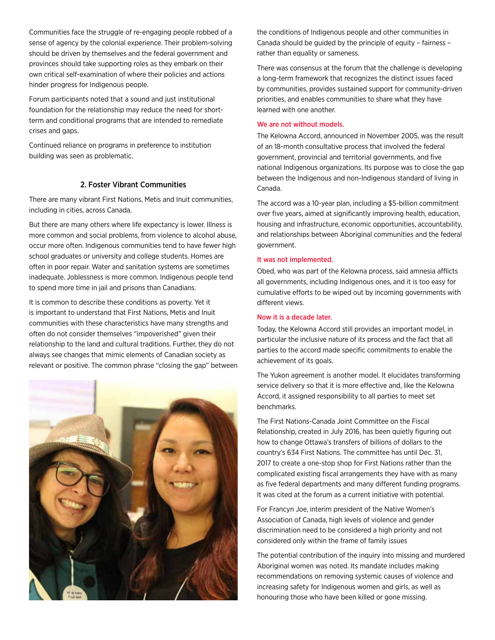Communities face the struggle of re-engaging people robbed of a sense of agency by the colonial experience. Their problem-solving should be driven by themselves and the federal government and provinces should take supporting roles as they embark on their own critical self-examination of where their policies and actions hinder progress for Indigenous people.

Forum participants noted that a sound and just institutional foundation for the relationship may reduce the need for shortterm and conditional programs that are intended to remediate crises and gaps.

Continued reliance on programs in preference to institution building was seen as problematic.

#### 2. Foster Vibrant Communities

There are many vibrant First Nations, Metis and Inuit communities, including in cities, across Canada.

But there are many others where life expectancy is lower. Illness is more common and social problems, from violence to alcohol abuse, occur more often. Indigenous communities tend to have fewer high school graduates or university and college students. Homes are often in poor repair. Water and sanitation systems are sometimes inadequate. Joblessness is more common. Indigenous people tend to spend more time in jail and prisons than Canadians.

It is common to describe these conditions as poverty. Yet it is important to understand that First Nations, Metis and Inuit communities with these characteristics have many strengths and often do not consider themselves "impoverished" given their relationship to the land and cultural traditions. Further, they do not always see changes that mimic elements of Canadian society as relevant or positive. The common phrase "closing the gap" between



the conditions of Indigenous people and other communities in Canada should be guided by the principle of equity – fairness – rather than equality or sameness.

There was consensus at the forum that the challenge is developing a long-term framework that recognizes the distinct issues faced by communities, provides sustained support for community-driven priorities, and enables communities to share what they have learned with one another.

#### We are not without models.

The Kelowna Accord, announced in November 2005, was the result of an 18-month consultative process that involved the federal government, provincial and territorial governments, and five national Indigenous organizations. Its purpose was to close the gap between the Indigenous and non-Indigenous standard of living in Canada.

The accord was a 10-year plan, including a \$5-billion commitment over five years, aimed at significantly improving health, education, housing and infrastructure, economic opportunities, accountability, and relationships between Aboriginal communities and the federal government.

#### It was not implemented.

Obed, who was part of the Kelowna process, said amnesia afflicts all governments, including Indigenous ones, and it is too easy for cumulative efforts to be wiped out by incoming governments with different views.

#### Now it is a decade later.

Today, the Kelowna Accord still provides an important model, in particular the inclusive nature of its process and the fact that all parties to the accord made specific commitments to enable the achievement of its goals.

The Yukon agreement is another model. It elucidates transforming service delivery so that it is more effective and, like the Kelowna Accord, it assigned responsibility to all parties to meet set benchmarks.

The First Nations-Canada Joint Committee on the Fiscal Relationship, created in July 2016, has been quietly figuring out how to change Ottawa's transfers of billions of dollars to the country's 634 First Nations. The committee has until Dec. 31, 2017 to create a one-stop shop for First Nations rather than the complicated existing fiscal arrangements they have with as many as five federal departments and many different funding programs. It was cited at the forum as a current initiative with potential.

For Francyn Joe, interim president of the Native Women's Association of Canada, high levels of violence and gender discrimination need to be considered a high priority and not considered only within the frame of family issues

The potential contribution of the inquiry into missing and murdered Aboriginal women was noted. Its mandate includes making recommendations on removing systemic causes of violence and increasing safety for Indigenous women and girls, as well as honouring those who have been killed or gone missing.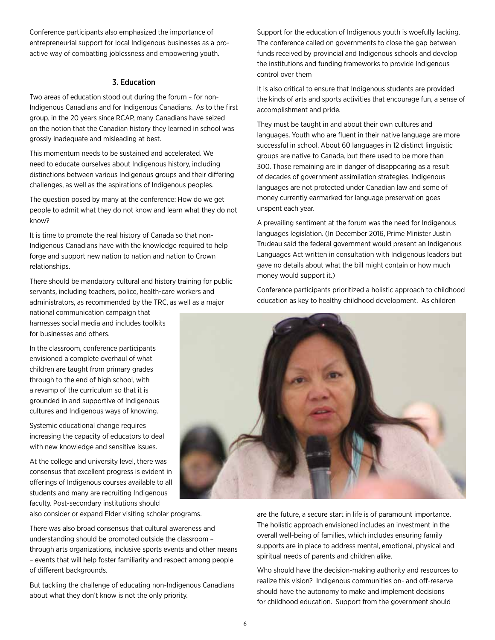Conference participants also emphasized the importance of entrepreneurial support for local Indigenous businesses as a proactive way of combatting joblessness and empowering youth.

#### 3. Education

Two areas of education stood out during the forum – for non-Indigenous Canadians and for Indigenous Canadians. As to the first group, in the 20 years since RCAP, many Canadians have seized on the notion that the Canadian history they learned in school was grossly inadequate and misleading at best.

This momentum needs to be sustained and accelerated. We need to educate ourselves about Indigenous history, including distinctions between various Indigenous groups and their differing challenges, as well as the aspirations of Indigenous peoples.

The question posed by many at the conference: How do we get people to admit what they do not know and learn what they do not know?

It is time to promote the real history of Canada so that non-Indigenous Canadians have with the knowledge required to help forge and support new nation to nation and nation to Crown relationships.

There should be mandatory cultural and history training for public servants, including teachers, police, health-care workers and administrators, as recommended by the TRC, as well as a major national communication campaign that

harnesses social media and includes toolkits for businesses and others.

In the classroom, conference participants envisioned a complete overhaul of what children are taught from primary grades through to the end of high school, with a revamp of the curriculum so that it is grounded in and supportive of Indigenous cultures and Indigenous ways of knowing.

Systemic educational change requires increasing the capacity of educators to deal with new knowledge and sensitive issues.

At the college and university level, there was consensus that excellent progress is evident in offerings of Indigenous courses available to all students and many are recruiting Indigenous faculty. Post-secondary institutions should

also consider or expand Elder visiting scholar programs.

There was also broad consensus that cultural awareness and understanding should be promoted outside the classroom – through arts organizations, inclusive sports events and other means – events that will help foster familiarity and respect among people of different backgrounds.

But tackling the challenge of educating non-Indigenous Canadians about what they don't know is not the only priority.

Support for the education of Indigenous youth is woefully lacking. The conference called on governments to close the gap between funds received by provincial and Indigenous schools and develop the institutions and funding frameworks to provide Indigenous control over them

It is also critical to ensure that Indigenous students are provided the kinds of arts and sports activities that encourage fun, a sense of accomplishment and pride.

They must be taught in and about their own cultures and languages. Youth who are fluent in their native language are more successful in school. About 60 languages in 12 distinct linguistic groups are native to Canada, but there used to be more than 300. Those remaining are in danger of disappearing as a result of decades of government assimilation strategies. Indigenous languages are not protected under Canadian law and some of money currently earmarked for language preservation goes unspent each year.

A prevailing sentiment at the forum was the need for Indigenous languages legislation. (In December 2016, Prime Minister Justin Trudeau said the federal government would present an Indigenous Languages Act written in consultation with Indigenous leaders but gave no details about what the bill might contain or how much money would support it.)

Conference participants prioritized a holistic approach to childhood education as key to healthy childhood development. As children



are the future, a secure start in life is of paramount importance. The holistic approach envisioned includes an investment in the overall well-being of families, which includes ensuring family supports are in place to address mental, emotional, physical and spiritual needs of parents and children alike.

Who should have the decision-making authority and resources to realize this vision? Indigenous communities on- and off-reserve should have the autonomy to make and implement decisions for childhood education. Support from the government should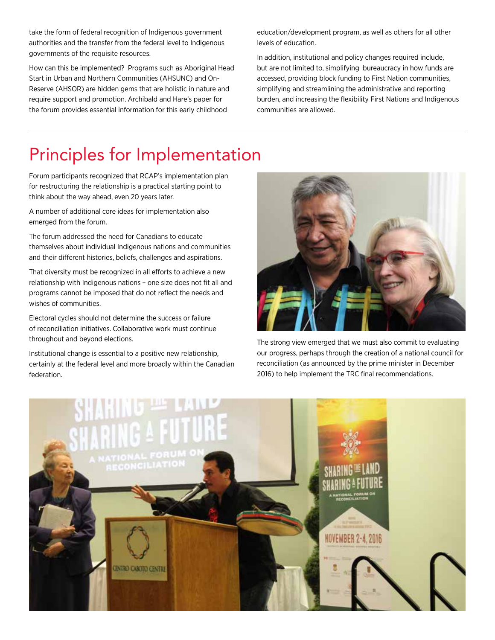take the form of federal recognition of Indigenous government authorities and the transfer from the federal level to Indigenous governments of the requisite resources.

How can this be implemented? Programs such as Aboriginal Head Start in Urban and Northern Communities (AHSUNC) and On-Reserve (AHSOR) are hidden gems that are holistic in nature and require support and promotion. Archibald and Hare's paper for the forum provides essential information for this early childhood

education/development program, as well as others for all other levels of education.

In addition, institutional and policy changes required include, but are not limited to, simplifying bureaucracy in how funds are accessed, providing block funding to First Nation communities, simplifying and streamlining the administrative and reporting burden, and increasing the flexibility First Nations and Indigenous communities are allowed.

# Principles for Implementation

Forum participants recognized that RCAP's implementation plan for restructuring the relationship is a practical starting point to think about the way ahead, even 20 years later.

A number of additional core ideas for implementation also emerged from the forum.

The forum addressed the need for Canadians to educate themselves about individual Indigenous nations and communities and their different histories, beliefs, challenges and aspirations.

That diversity must be recognized in all efforts to achieve a new relationship with Indigenous nations – one size does not fit all and programs cannot be imposed that do not reflect the needs and wishes of communities.

Electoral cycles should not determine the success or failure of reconciliation initiatives. Collaborative work must continue throughout and beyond elections.

Institutional change is essential to a positive new relationship, certainly at the federal level and more broadly within the Canadian federation.



The strong view emerged that we must also commit to evaluating our progress, perhaps through the creation of a national council for reconciliation (as announced by the prime minister in December 2016) to help implement the TRC final recommendations.

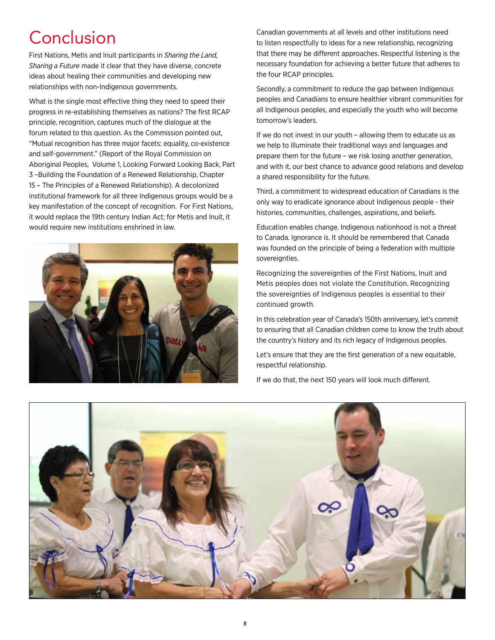# **Conclusion**

First Nations, Metis and Inuit participants in *Sharing the Land, Sharing a Future* made it clear that they have diverse, concrete ideas about healing their communities and developing new relationships with non-Indigenous governments.

What is the single most effective thing they need to speed their progress in re-establishing themselves as nations? The first RCAP principle, recognition, captures much of the dialogue at the forum related to this question. As the Commission pointed out, "Mutual recognition has three major facets: equality, co-existence and self-government." (Report of the Royal Commission on Aboriginal Peoples, Volume 1, Looking Forward Looking Back, Part 3 –Building the Foundation of a Renewed Relationship, Chapter 15 – The Principles of a Renewed Relationship). A decolonized institutional framework for all three Indigenous groups would be a key manifestation of the concept of recognition. For First Nations, it would replace the 19th century Indian Act; for Metis and Inuit, it would require new institutions enshrined in law.



Canadian governments at all levels and other institutions need to listen respectfully to ideas for a new relationship, recognizing that there may be different approaches. Respectful listening is the necessary foundation for achieving a better future that adheres to the four RCAP principles.

Secondly, a commitment to reduce the gap between Indigenous peoples and Canadians to ensure healthier vibrant communities for all Indigenous peoples, and especially the youth who will become tomorrow's leaders.

If we do not invest in our youth – allowing them to educate us as we help to illuminate their traditional ways and languages and prepare them for the future – we risk losing another generation, and with it, our best chance to advance good relations and develop a shared responsibility for the future.

Third, a commitment to widespread education of Canadians is the only way to eradicate ignorance about Indigenous people - their histories, communities, challenges, aspirations, and beliefs.

Education enables change. Indigenous nationhood is not a threat to Canada. Ignorance is. It should be remembered that Canada was founded on the principle of being a federation with multiple sovereignties.

Recognizing the sovereignties of the First Nations, Inuit and Metis peoples does not violate the Constitution. Recognizing the sovereignties of Indigenous peoples is essential to their continued growth.

In this celebration year of Canada's 150th anniversary, let's commit to ensuring that all Canadian children come to know the truth about the country's history and its rich legacy of Indigenous peoples.

Let's ensure that they are the first generation of a new equitable, respectful relationship.

If we do that, the next 150 years will look much different.

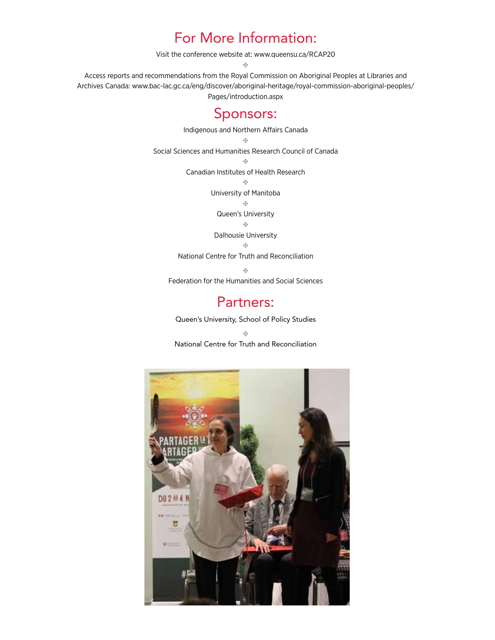### For More Information:

Visit the conference website at: www.queensu.ca/RCAP20

✤

Access reports and recommendations from the Royal Commission on Aboriginal Peoples at Libraries and Archives Canada: www.bac-lac.gc.ca/eng/discover/aboriginal-heritage/royal-commission-aboriginal-peoples/ Pages/introduction.aspx

### Sponsors:

Indigenous and Northern Affairs Canada ✤ Social Sciences and Humanities Research Council of Canada ✤ Canadian Institutes of Health Research  $\sigma^0_{\rm eff}$ University of Manitoba ✤ Queen's University ✤ Dalhousie University ✤ National Centre for Truth and Reconciliation ✤ Federation for the Humanities and Social Sciences

### Partners:

Queen's University, School of Policy Studies

✤ National Centre for Truth and Reconciliation